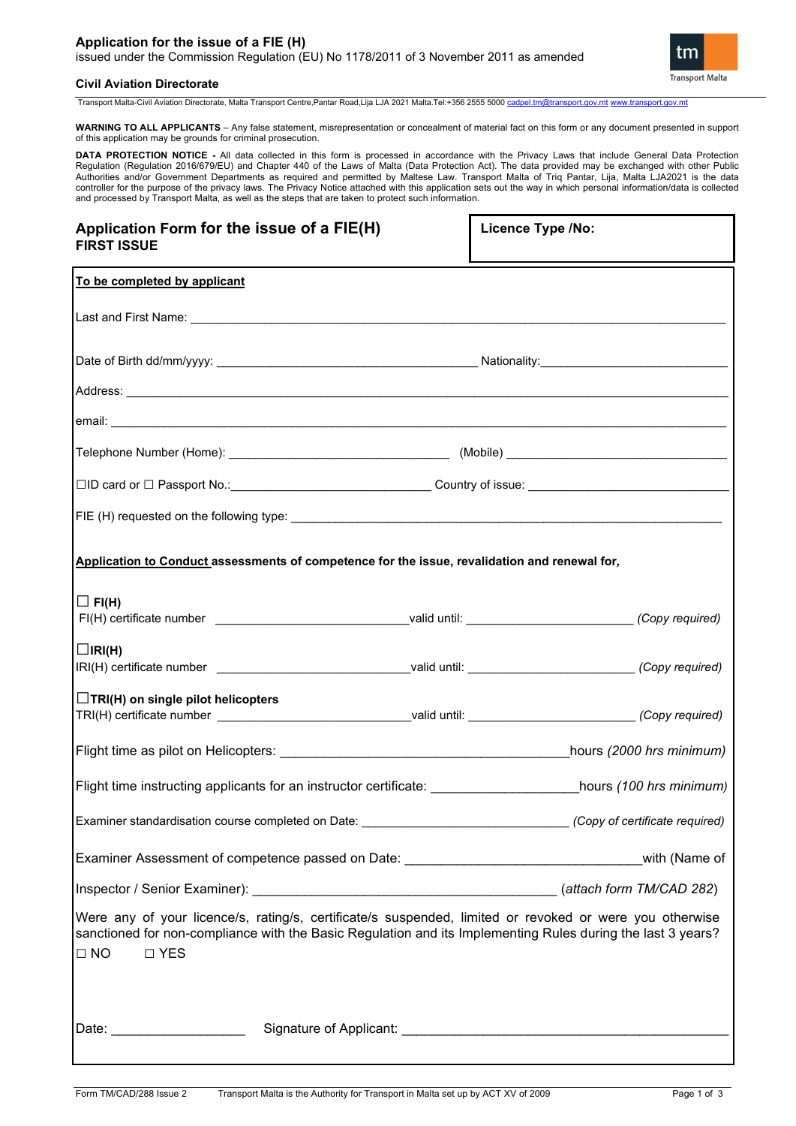### **Application for the issue of a FIE (H)** issued under the Commission Regulation (EU) No 1178/2011 of 3 November 2011 as amended



### **Civil Aviation Directorate**

Transport Malta-Civil Aviation Directorate, Malta Transport Centre,Pantar Road,Lija LJA 2021 Malta.Tel:+356 2555 5000 [cadpel.tm@transport.gov.mt](mailto:cadpel.tm@transport.gov.mt) [www.transport.gov.mt](http://www.transport.gov.mt/)

**WARNING TO ALL APPLICANTS** – Any false statement, misrepresentation or concealment of material fact on this form or any document presented in support of this application may be grounds for criminal prosecution.

**DATA PROTECTION NOTICE** - All data collected in this form is processed in accordance with the Privacy Laws that include General Data Protection<br>Regulation (Regulation 2016/679/EU) and Chapter 440 of the Laws of Malta (Dat Authorities and/or Government Departments as required and permitted by Maltese Law. Transport Malta of Triq Pantar, Lija, Malta LJA2021 is the data controller for the purpose of the privacy laws. The Privacy Notice attached with this application sets out the way in which personal information/data is collected and processed by Transport Malta, as well as the steps that are taken to protect such information.

| Application Form for the issue of a FIE(H)<br><b>FIRST ISSUE</b>                                                                                                                                                                                     | <b>Licence Type /No:</b> |  |  |
|------------------------------------------------------------------------------------------------------------------------------------------------------------------------------------------------------------------------------------------------------|--------------------------|--|--|
| To be completed by applicant                                                                                                                                                                                                                         |                          |  |  |
|                                                                                                                                                                                                                                                      |                          |  |  |
|                                                                                                                                                                                                                                                      |                          |  |  |
|                                                                                                                                                                                                                                                      |                          |  |  |
| email: <u>Communication of the communication of the communication of the communication of the communication</u>                                                                                                                                      |                          |  |  |
|                                                                                                                                                                                                                                                      |                          |  |  |
| □ID card or □ Passport No.:__________________________________Country of issue: _______________________________                                                                                                                                       |                          |  |  |
|                                                                                                                                                                                                                                                      |                          |  |  |
| Application to Conduct assessments of competence for the issue, revalidation and renewal for,                                                                                                                                                        |                          |  |  |
| $\Box$ FI(H)                                                                                                                                                                                                                                         |                          |  |  |
| $\Box$ IRI(H)<br>IRI(H) certificate number _________________________________valid until: _________________________(Copy required)                                                                                                                    |                          |  |  |
| $\Box$ TRI(H) on single pilot helicopters<br>TRI(H) certificate number _________________________________valid until: __________________________(Copy required)                                                                                       |                          |  |  |
|                                                                                                                                                                                                                                                      | hours (2000 hrs minimum) |  |  |
| Flight time instructing applicants for an instructor certificate: https://www.hours (100 hrs minimum)                                                                                                                                                |                          |  |  |
| Examiner standardisation course completed on Date: ______________________________(Copy of certificate required)                                                                                                                                      |                          |  |  |
| Examiner Assessment of competence passed on Date: ___________________________________with (Name of                                                                                                                                                   |                          |  |  |
|                                                                                                                                                                                                                                                      |                          |  |  |
| Were any of your licence/s, rating/s, certificate/s suspended, limited or revoked or were you otherwise<br>sanctioned for non-compliance with the Basic Regulation and its Implementing Rules during the last 3 years?<br>$\square$ YES<br>$\Box$ NO |                          |  |  |
|                                                                                                                                                                                                                                                      |                          |  |  |
| Date: ______________________                                                                                                                                                                                                                         |                          |  |  |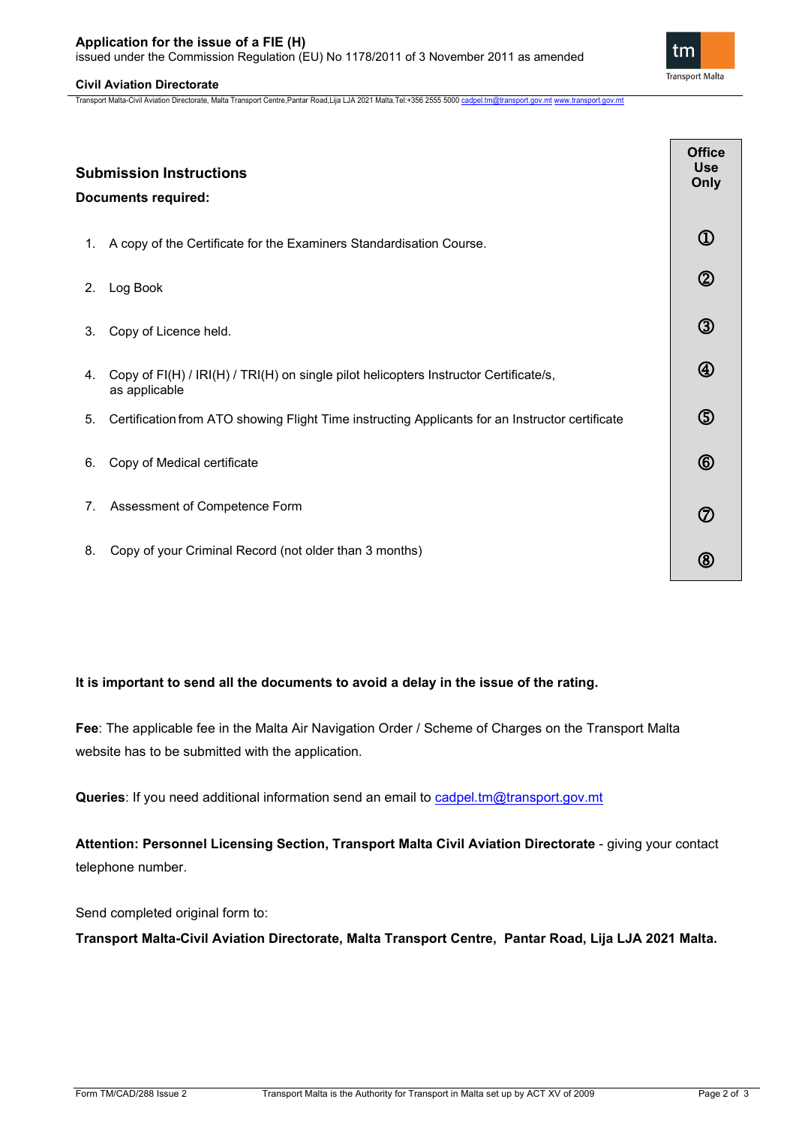## **Application for the issue of a FIE (H)**

issued under the Commission Regulation (EU) No 1178/2011 of 3 November 2011 as amended

## **Civil Aviation Directorate**

Transport Malta-Civil Aviation Directorate, Malta Transport Centre,Pantar Road,Lija LJA 2021 Malta.Tel:+356 2555 5000 [cadpel.tm@transport.gov.mt](mailto:cadpel.tm@transport.gov.mt) [www.transport.gov.mt](http://www.transport.gov.mt/)

|    | <b>Submission Instructions</b><br><b>Documents required:</b>                                           | <b>Office</b><br><b>Use</b><br>Only |  |
|----|--------------------------------------------------------------------------------------------------------|-------------------------------------|--|
| 1. | A copy of the Certificate for the Examiners Standardisation Course.                                    | $^\copyright$                       |  |
| 2. | Log Book                                                                                               | $^{\circledR}$                      |  |
| 3. | Copy of Licence held.                                                                                  | $\circledS$                         |  |
| 4. | Copy of FI(H) / IRI(H) / TRI(H) on single pilot helicopters Instructor Certificate/s,<br>as applicable | $^{\circledR}$                      |  |
| 5. | Certification from ATO showing Flight Time instructing Applicants for an Instructor certificate        | $\circledS$                         |  |
| 6. | Copy of Medical certificate                                                                            | $^{\circledR}$                      |  |
| 7. | Assessment of Competence Form                                                                          | $^\circledR$                        |  |
| 8. | Copy of your Criminal Record (not older than 3 months)                                                 | (8                                  |  |

# **It is important to send all the documents to avoid a delay in the issue of the rating.**

**Fee**: The applicable fee in the Malta Air Navigation Order / Scheme of Charges on the Transport Malta website has to be submitted with the application.

Queries: If you need additional information send an email to cadpel.tm@transport.gov.mt

Attention: Personnel Licensing Section, Transport Malta Civil Aviation Directorate - giving your contact telephone number.

Send completed original form to:

**Transport Malta-Civil Aviation Directorate, Malta Transport Centre, Pantar Road, Lija LJA 2021 Malta.**